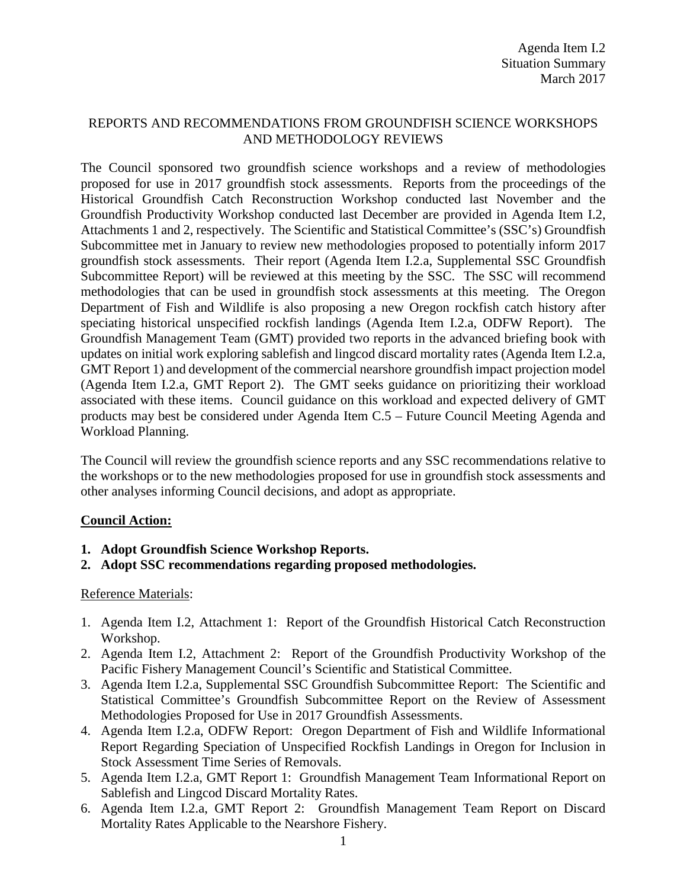#### REPORTS AND RECOMMENDATIONS FROM GROUNDFISH SCIENCE WORKSHOPS AND METHODOLOGY REVIEWS

The Council sponsored two groundfish science workshops and a review of methodologies proposed for use in 2017 groundfish stock assessments. Reports from the proceedings of the Historical Groundfish Catch Reconstruction Workshop conducted last November and the Groundfish Productivity Workshop conducted last December are provided in Agenda Item I.2, Attachments 1 and 2, respectively. The Scientific and Statistical Committee's (SSC's) Groundfish Subcommittee met in January to review new methodologies proposed to potentially inform 2017 groundfish stock assessments. Their report (Agenda Item I.2.a, Supplemental SSC Groundfish Subcommittee Report) will be reviewed at this meeting by the SSC. The SSC will recommend methodologies that can be used in groundfish stock assessments at this meeting. The Oregon Department of Fish and Wildlife is also proposing a new Oregon rockfish catch history after speciating historical unspecified rockfish landings (Agenda Item I.2.a, ODFW Report). The Groundfish Management Team (GMT) provided two reports in the advanced briefing book with updates on initial work exploring sablefish and lingcod discard mortality rates (Agenda Item I.2.a, GMT Report 1) and development of the commercial nearshore groundfish impact projection model (Agenda Item I.2.a, GMT Report 2). The GMT seeks guidance on prioritizing their workload associated with these items. Council guidance on this workload and expected delivery of GMT products may best be considered under Agenda Item C.5 – Future Council Meeting Agenda and Workload Planning.

The Council will review the groundfish science reports and any SSC recommendations relative to the workshops or to the new methodologies proposed for use in groundfish stock assessments and other analyses informing Council decisions, and adopt as appropriate.

## **Council Action:**

## **1. Adopt Groundfish Science Workshop Reports.**

**2. Adopt SSC recommendations regarding proposed methodologies.**

#### Reference Materials:

- 1. Agenda Item I.2, Attachment 1: Report of the Groundfish Historical Catch Reconstruction Workshop.
- 2. Agenda Item I.2, Attachment 2: Report of the Groundfish Productivity Workshop of the Pacific Fishery Management Council's Scientific and Statistical Committee.
- 3. Agenda Item I.2.a, Supplemental SSC Groundfish Subcommittee Report: The Scientific and Statistical Committee's Groundfish Subcommittee Report on the Review of Assessment Methodologies Proposed for Use in 2017 Groundfish Assessments.
- 4. Agenda Item I.2.a, ODFW Report: Oregon Department of Fish and Wildlife Informational Report Regarding Speciation of Unspecified Rockfish Landings in Oregon for Inclusion in Stock Assessment Time Series of Removals.
- 5. Agenda Item I.2.a, GMT Report 1: Groundfish Management Team Informational Report on Sablefish and Lingcod Discard Mortality Rates.
- 6. Agenda Item I.2.a, GMT Report 2: Groundfish Management Team Report on Discard Mortality Rates Applicable to the Nearshore Fishery.